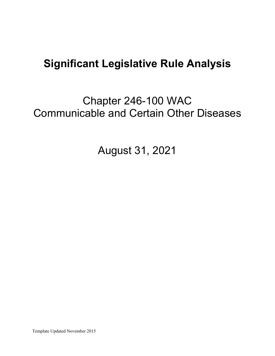# **Significant Legislative Rule Analysis**

Chapter 246-100 WAC Communicable and Certain Other Diseases

August 31, 2021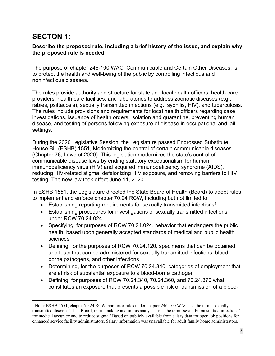# **SECTON 1:**

#### **Describe the proposed rule, including a brief history of the issue, and explain why the proposed rule is needed.**

The purpose of chapter 246-100 WAC, Communicable and Certain Other Diseases, is to protect the health and well-being of the public by controlling infectious and noninfectious diseases.

The rules provide authority and structure for state and local health officers, health care providers, health care facilities, and laboratories to address zoonotic diseases (e.g., rabies, psittacosis), sexually transmitted infections (e.g., syphilis, HIV), and tuberculosis. The rules include provisions and requirements for local health officers regarding case investigations, issuance of health orders, isolation and quarantine, preventing human disease, and testing of persons following exposure of disease in occupational and jail settings.

During the 2020 Legislative Session, the Legislature passed Engrossed Substitute House Bill (ESHB) 1551, Modernizing the control of certain communicable diseases (Chapter 76, Laws of 2020). This legislation modernizes the state's control of communicable disease laws by ending statutory exceptionalism for human immunodeficiency virus (HIV) and acquired immunodeficiency syndrome (AIDS), reducing HIV-related stigma, defelonizing HIV exposure, and removing barriers to HIV testing. The new law took effect June 11, 2020.

In ESHB 1551, the Legislature directed the State Board of Health (Board) to adopt rules to implement and enforce chapter 70.24 RCW, including but not limited to:

- Establishing reporting requirements for sexually transmitted infections<sup>[1](#page-1-0)</sup>
- Establishing procedures for investigations of sexually transmitted infections under RCW 70.24.024
- Specifying, for purposes of RCW 70.24.024, behavior that endangers the public health, based upon generally accepted standards of medical and public health sciences
- Defining, for the purposes of RCW 70.24.120, specimens that can be obtained and tests that can be administered for sexually transmitted infections, bloodborne pathogens, and other infections
- Determining, for the purposes of RCW 70.24.340, categories of employment that are at risk of substantial exposure to a blood-borne pathogen
- Defining, for purposes of RCW 70.24.340, 70.24.360, and 70.24.370 what constitutes an exposure that presents a possible risk of transmission of a blood-

<span id="page-1-0"></span><sup>&</sup>lt;sup>1</sup> Note: ESHB 1551, chapter 70.24 RCW, and prior rules under chapter 246-100 WAC use the term "sexually transmitted diseases." The Board, in rulemaking and in this analysis, uses the term "sexually transmitted infections" for medical accuracy and to reduce stigma.2 Based on publicly available from salary data for open job positions for enhanced service facility administrators. Salary information was unavailable for adult family home administrators.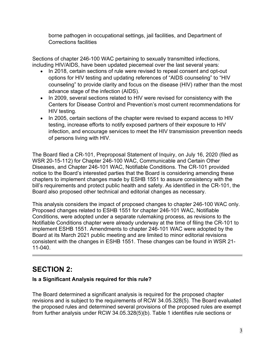borne pathogen in occupational settings, jail facilities, and Department of Corrections facilities

Sections of chapter 246-100 WAC pertaining to sexually transmitted infections, including HIV/AIDS, have been updated piecemeal over the last several years:

- In 2018, certain sections of rule were revised to repeal consent and opt-out options for HIV testing and updating references of "AIDS counseling" to "HIV counseling" to provide clarity and focus on the disease (HIV) rather than the most advance stage of the infection (AIDS).
- In 2009, several sections related to HIV were revised for consistency with the Centers for Disease Control and Prevention's most current recommendations for HIV testing.
- In 2005, certain sections of the chapter were revised to expand access to HIV testing, increase efforts to notify exposed partners of their exposure to HIV infection, and encourage services to meet the HIV transmission prevention needs of persons living with HIV.

The Board filed a CR-101, Preproposal Statement of Inquiry, on July 16, 2020 (filed as WSR 20-15-112) for Chapter 246-100 WAC, Communicable and Certain Other Diseases, and Chapter 246-101 WAC, Notifiable Conditions. The CR-101 provided notice to the Board's interested parties that the Board is considering amending these chapters to implement changes made by ESHB 1551 to assure consistency with the bill's requirements and protect public health and safety. As identified in the CR-101, the Board also proposed other technical and editorial changes as necessary.

This analysis considers the impact of proposed changes to chapter 246-100 WAC only. Proposed changes related to ESHB 1551 for chapter 246-101 WAC, Notifiable Conditions, were adopted under a separate rulemaking process, as revisions to the Notifiable Conditions chapter were already underway at the time of filing the CR-101 to implement ESHB 1551. Amendments to chapter 246-101 WAC were adopted by the Board at its March 2021 public meeting and are limited to minor editorial revisions consistent with the changes in ESHB 1551. These changes can be found in WSR 21- 11-040.

# **SECTION 2:**

## **Is a Significant Analysis required for this rule?**

The Board determined a significant analysis is required for the proposed chapter revisions and is subject to the requirements of RCW 34.05.328(5). The Board evaluated the proposed rules and determined several provisions of the proposed rules are exempt from further analysis under RCW 34.05.328(5)(b). Table 1 identifies rule sections or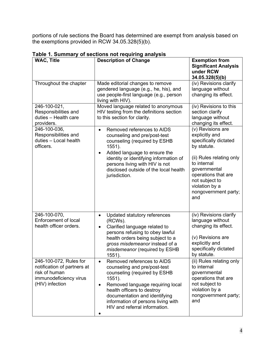portions of rule sections the Board has determined are exempt from analysis based on the exemptions provided in RCW 34.05.328(5)(b).

| <b>WAC, Title</b>                                                                                                   | <b>Description of Change</b>                                                                                                                                                                                                                                                                            | <b>Exemption from</b><br><b>Significant Analysis</b><br>under RCW<br>34.05.328(5)(b)                                                                                                                                             |
|---------------------------------------------------------------------------------------------------------------------|---------------------------------------------------------------------------------------------------------------------------------------------------------------------------------------------------------------------------------------------------------------------------------------------------------|----------------------------------------------------------------------------------------------------------------------------------------------------------------------------------------------------------------------------------|
| Throughout the chapter                                                                                              | Made editorial changes to remove<br>gendered language (e.g., he, his), and<br>use people-first language (e.g., person<br>living with HIV).                                                                                                                                                              | (iv) Revisions clarify<br>language without<br>changing its effect.                                                                                                                                                               |
| 246-100-021,<br>Responsibilities and<br>duties - Health care<br>providers.                                          | Moved language related to anonymous<br>HIV testing from the definitions section<br>to this section for clarity.                                                                                                                                                                                         | (iv) Revisions to this<br>section clarify<br>language without<br>changing its effect.                                                                                                                                            |
| 246-100-036,<br>Responsibilities and<br>duties - Local health<br>officers.                                          | Removed references to AIDS<br>$\bullet$<br>counseling and pre/post-test<br>counseling (required by ESHB<br>$1551$ ).<br>Added language to ensure the<br>$\bullet$<br>identity or identifying information of<br>persons living with HIV is not<br>disclosed outside of the local health<br>jurisdiction. | (v) Revisions are<br>explicitly and<br>specifically dictated<br>by statute.<br>(ii) Rules relating only<br>to internal<br>governmental<br>operations that are<br>not subject to<br>violation by a<br>nongovernment party;<br>and |
| 246-100-070,<br><b>Enforcement of local</b><br>health officer orders.                                               | Updated statutory references<br>$\bullet$<br>(RCWs).<br>Clarified language related to<br>$\bullet$<br>persons refusing to obey lawful<br>health orders being subject to a<br>gross misdemeanor instead of a<br>misdemeanor (required by ESHB<br>$1551$ ).                                               | (iv) Revisions clarify<br>language without<br>changing its effect.<br>(v) Revisions are<br>explicitly and<br>specifically dictated<br>by statute.                                                                                |
| 246-100-072, Rules for<br>notification of partners at<br>risk of human<br>immunodeficiency virus<br>(HIV) infection | Removed references to AIDS<br>counseling and pre/post-test<br>counseling (required by ESHB<br>1551).<br>Removed language requiring local<br>$\bullet$<br>health officers to destroy<br>documentation and identifying<br>information of persons living with<br>HIV and referral information.             | (ii) Rules relating only<br>to internal<br>governmental<br>operations that are<br>not subject to<br>violation by a<br>nongovernment party;<br>and                                                                                |

**Table 1. Summary of sections not requiring analysis**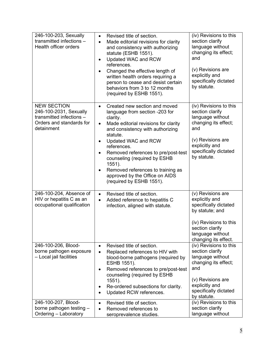| 246-100-203, Sexually<br>transmitted infections -<br>Health officer orders                                         | Revised title of section.<br>$\bullet$<br>Made editorial revisions for clarity<br>$\bullet$<br>and consistency with authorizing<br>statute (ESHB 1551).<br>Updated WAC and RCW<br>references.<br>Changed the effective length of<br>$\bullet$<br>written health orders requiring a<br>person to cease and desist certain<br>behaviors from 3 to 12 months<br>(required by ESHB 1551).                                        | (iv) Revisions to this<br>section clarify<br>language without<br>changing its effect;<br>and<br>(v) Revisions are<br>explicitly and<br>specifically dictated<br>by statute. |
|--------------------------------------------------------------------------------------------------------------------|------------------------------------------------------------------------------------------------------------------------------------------------------------------------------------------------------------------------------------------------------------------------------------------------------------------------------------------------------------------------------------------------------------------------------|-----------------------------------------------------------------------------------------------------------------------------------------------------------------------------|
| <b>NEW SECTION</b><br>246-100-2031, Sexually<br>transmitted infections -<br>Orders and standards for<br>detainment | Created new section and moved<br>$\bullet$<br>language from section -203 for<br>clarity.<br>Made editorial revisions for clarity<br>$\bullet$<br>and consistency with authorizing<br>statute.<br>Updated WAC and RCW<br>٠<br>references.<br>Removed references to pre/post-test<br>counseling (required by ESHB<br>1551).<br>Removed references to training as<br>approved by the Office on AIDS<br>(required by ESHB 1551). | (iv) Revisions to this<br>section clarify<br>language without<br>changing its effect;<br>and<br>(v) Revisions are<br>explicitly and<br>specifically dictated<br>by statute. |
| 246-100-204, Absence of<br>HIV or hepatitis C as an<br>occupational qualification                                  | Revised title of section.<br>$\bullet$<br>Added reference to hepatitis C<br>$\bullet$<br>infection, aligned with statute.                                                                                                                                                                                                                                                                                                    | (v) Revisions are<br>explicitly and<br>specifically dictated<br>by statute; and<br>(iv) Revisions to this<br>section clarify<br>language without<br>changing its effect.    |
| 246-100-206, Blood-<br>borne pathogen exposure<br>- Local jail facilities                                          | Revised title of section.<br>$\bullet$<br>Replaced references to HIV with<br>$\bullet$<br>blood-borne pathogens (required by<br>ESHB 1551).<br>Removed references to pre/post-test<br>counseling (required by ESHB<br>1551).<br>Re-ordered subsections for clarity.<br>Updated RCW references.<br>$\bullet$                                                                                                                  | (iv) Revisions to this<br>section clarify<br>language without<br>changing its effect;<br>and<br>(v) Revisions are<br>explicitly and<br>specifically dictated<br>by statute. |
| 246-100-207, Blood-<br>borne pathogen testing -<br>Ordering - Laboratory                                           | Revised title of section.<br>$\bullet$<br>Removed references to<br>seroprevalence studies.                                                                                                                                                                                                                                                                                                                                   | (iv) Revisions to this<br>section clarify<br>language without                                                                                                               |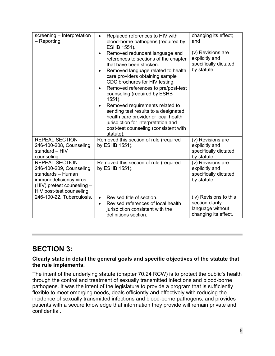| screening - Interpretation<br>$-$ Reporting                                                                                                                | Replaced references to HIV with<br>blood-borne pathogens (required by<br>ESHB 1551).<br>Removed redundant language and<br>references to sections of the chapter<br>that have been stricken.<br>Removed language related to health<br>$\bullet$<br>care providers obtaining sample<br>CDC brochures for HIV testing.<br>Removed references to pre/post-test<br>٠<br>counseling (required by ESHB<br>$1551$ ).<br>Removed requirements related to<br>$\bullet$<br>sending test results to a designated<br>health care provider or local health<br>jurisdiction for interpretation and<br>post-test counseling (consistent with<br>statute). | changing its effect;<br>and<br>(v) Revisions are<br>explicitly and<br>specifically dictated<br>by statute. |
|------------------------------------------------------------------------------------------------------------------------------------------------------------|-------------------------------------------------------------------------------------------------------------------------------------------------------------------------------------------------------------------------------------------------------------------------------------------------------------------------------------------------------------------------------------------------------------------------------------------------------------------------------------------------------------------------------------------------------------------------------------------------------------------------------------------|------------------------------------------------------------------------------------------------------------|
| <b>REPEAL SECTION</b><br>246-100-208, Counseling<br>standard - HIV<br>counseling                                                                           | Removed this section of rule (required<br>by ESHB 1551).                                                                                                                                                                                                                                                                                                                                                                                                                                                                                                                                                                                  | (v) Revisions are<br>explicitly and<br>specifically dictated<br>by statute.                                |
| <b>REPEAL SECTION</b><br>246-100-209, Counseling<br>standards - Human<br>immunodeficiency virus<br>(HIV) pretest counseling -<br>HIV post-test counseling. | Removed this section of rule (required<br>by ESHB 1551).                                                                                                                                                                                                                                                                                                                                                                                                                                                                                                                                                                                  | (v) Revisions are<br>explicitly and<br>specifically dictated<br>by statute.                                |
| 246-100-22, Tuberculosis.                                                                                                                                  | Revised title of section.<br>$\bullet$<br>Revised references of local health<br>$\bullet$<br>jurisdiction consistent with the<br>definitions section.                                                                                                                                                                                                                                                                                                                                                                                                                                                                                     | (iv) Revisions to this<br>section clarify<br>language without<br>changing its effect.                      |

# **SECTION 3:**

### **Clearly state in detail the general goals and specific objectives of the statute that the rule implements.**

The intent of the underlying statute (chapter 70.24 RCW) is to protect the public's health through the control and treatment of sexually transmitted infections and blood-borne pathogens. It was the intent of the legislature to provide a program that is sufficiently flexible to meet emerging needs, deals efficiently and effectively with reducing the incidence of sexually transmitted infections and blood-borne pathogens, and provides patients with a secure knowledge that information they provide will remain private and confidential.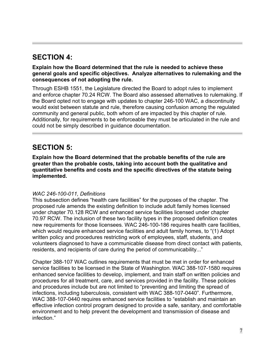# **SECTION 4:**

**Explain how the Board determined that the rule is needed to achieve these general goals and specific objectives. Analyze alternatives to rulemaking and the consequences of not adopting the rule.**

Through ESHB 1551, the Legislature directed the Board to adopt rules to implement and enforce chapter 70.24 RCW. The Board also assessed alternatives to rulemaking. If the Board opted not to engage with updates to chapter 246-100 WAC, a discontinuity would exist between statute and rule, therefore causing confusion among the regulated community and general public, both whom of are impacted by this chapter of rule. Additionally, for requirements to be enforceable they must be articulated in the rule and could not be simply described in guidance documentation.

# **SECTION 5:**

**Explain how the Board determined that the probable benefits of the rule are greater than the probable costs, taking into account both the qualitative and quantitative benefits and costs and the specific directives of the statute being implemented.**

### *WAC 246-100-011, Definitions*

This subsection defines "health care facilities" for the purposes of the chapter. The proposed rule amends the existing definition to include adult family homes licensed under chapter 70.128 RCW and enhanced service facilities licensed under chapter 70.97 RCW. The inclusion of these two facility types in the proposed definition creates new requirements for those licensees. WAC 246-100-186 requires health care facilities, which would require enhanced service facilities and adult family homes, to "(1) Adopt written policy and procedures restricting work of employees, staff, students, and volunteers diagnosed to have a communicable disease from direct contact with patients, residents, and recipients of care during the period of communicability..."

Chapter 388-107 WAC outlines requirements that must be met in order for enhanced service facilities to be licensed in the State of Washington. WAC 388-107-1580 requires enhanced service facilities to develop, implement, and train staff on written policies and procedures for all treatment, care, and services provided in the facility. These policies and procedures include but are not limited to "preventing and limiting the spread of infections, including tuberculosis, consistent with WAC 388-107-0440". Furthermore, WAC 388-107-0440 requires enhanced service facilities to "establish and maintain an effective infection control program designed to provide a safe, sanitary, and comfortable environment and to help prevent the development and transmission of disease and infection."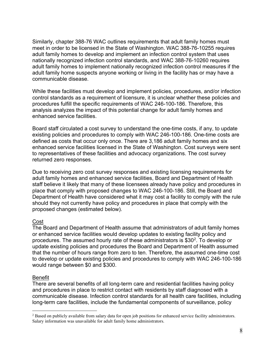Similarly, chapter 388-76 WAC outlines requirements that adult family homes must meet in order to be licensed in the State of Washington. WAC 388-76-10255 requires adult family homes to develop and implement an infection control system that uses nationally recognized infection control standards, and WAC 388-76-10260 requires adult family homes to implement nationally recognized infection control measures if the adult family home suspects anyone working or living in the facility has or may have a communicable disease.

While these facilities must develop and implement policies, procedures, and/or infection control standards as a requirement of licensure, it is unclear whether these policies and procedures fulfill the specific requirements of WAC 246-100-186. Therefore, this analysis analyzes the impact of this potential change for adult family homes and enhanced service facilities.

Board staff circulated a cost survey to understand the one-time costs, if any, to update existing policies and procedures to comply with WAC 246-100-186. One-time costs are defined as costs that occur only once. There are 3,186 adult family homes and six enhanced service facilities licensed in the State of Washington. Cost surveys were sent to representatives of these facilities and advocacy organizations. The cost survey returned zero responses.

Due to receiving zero cost survey responses and existing licensing requirements for adult family homes and enhanced service facilities, Board and Department of Health staff believe it likely that many of these licensees already have policy and procedures in place that comply with proposed changes to WAC 246-100-186. Still, the Board and Department of Health have considered what it may cost a facility to comply with the rule should they not currently have policy and procedures in place that comply with the proposed changes (estimated below).

#### Cost

The Board and Department of Health assume that administrators of adult family homes or enhanced service facilities would develop updates to existing facility policy and procedures. The assumed hourly rate of these administrators is \$30[2](#page-7-0). To develop or update existing policies and procedures the Board and Department of Health assumed that the number of hours range from zero to ten. Therefore, the assumed one-time cost to develop or update existing policies and procedures to comply with WAC 246-100-186 would range between \$0 and \$300.

#### **Benefit**

There are several benefits of all long-term care and residential facilities having policy and procedures in place to restrict contact with residents by staff diagnosed with a communicable disease. Infection control standards for all health care facilities, including long-term care facilities, include the fundamental components of surveillance, policy

<span id="page-7-0"></span><sup>&</sup>lt;sup>2</sup> Based on publicly available from salary data for open job positions for enhanced service facility administrators. Salary information was unavailable for adult family home administrators.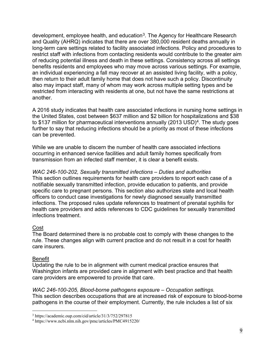development, employee health, and education<sup>[3](#page-8-0)</sup>. The Agency for Healthcare Research and Quality (AHRQ) indicates that there are over 380,000 resident deaths annually in long-term care settings related to facility associated infections. Policy and procedures to restrict staff with infections from contacting residents would contribute to the greater aim of reducing potential illness and death in these settings. Consistency across all settings benefits residents and employees who may move across various settings. For example, an individual experiencing a fall may recover at an assisted living facility, with a policy, then return to their adult family home that does not have such a policy. Discontinuity also may impact staff, many of whom may work across multiple setting types and be restricted from interacting with residents at one, but not have the same restrictions at another.

A 2016 study indicates that health care associated infections in nursing home settings in the United States, cost between \$637 million and \$2 billion for hospitalizations and \$38 to \$137 million for pharmaceutical interventions annually (2013 USD)<sup>[4](#page-8-1)</sup>. The study goes further to say that reducing infections should be a priority as most of these infections can be prevented.

While we are unable to discern the number of health care associated infections occurring in enhanced service facilities and adult family homes specifically from transmission from an infected staff member, it is clear a benefit exists.

*WAC 246-100-202, Sexually transmitted infections – Duties and authorities* This section outlines requirements for health care providers to report each case of a notifiable sexually transmitted infection, provide education to patients, and provide specific care to pregnant persons. This section also authorizes state and local health officers to conduct case investigations for newly diagnosed sexually transmitted infections. The proposed rules update references to treatment of prenatal syphilis for health care providers and adds references to CDC guidelines for sexually transmitted infections treatment.

### Cost

The Board determined there is no probable cost to comply with these changes to the rule. These changes align with current practice and do not result in a cost for health care insurers.

### Benefit

Updating the rule to be in alignment with current medical practice ensures that Washington infants are provided care in alignment with best practice and that health care providers are empowered to provide that care.

*WAC 246-100-205, Blood-borne pathogens exposure – Occupation settings.*  This section describes occupations that are at increased risk of exposure to blood-borne pathogens in the course of their employment. Currently, the rule includes a list of six

<span id="page-8-0"></span><sup>3</sup> https://academic.oup.com/cid/article/31/3/752/297815

<span id="page-8-1"></span><sup>4</sup> https://www.ncbi.nlm.nih.gov/pmc/articles/PMC4915220/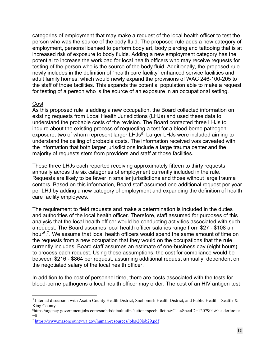categories of employment that may make a request of the local health officer to test the person who was the source of the body fluid. The proposed rule adds a new category of employment, persons licensed to perform body art, body piercing and tattooing that is at increased risk of exposure to body fluids. Adding a new employment category has the potential to increase the workload for local health officers who may receive requests for testing of the person who is the source of the body fluid. Additionally, the proposed rule newly includes in the definition of "health care facility" enhanced service facilities and adult family homes, which would newly expand the provisions of WAC 246-100-205 to the staff of those facilities. This expands the potential population able to make a request for testing of a person who is the source of an exposure in an occupational setting.

#### Cost

As this proposed rule is adding a new occupation, the Board collected information on existing requests from Local Health Jurisdictions (LHJs) and used these data to understand the probable costs of the revision. The Board contacted three LHJs to inquire about the existing process of requesting a test for a blood-borne pathogen exposure, two of whom represent larger LHJs<sup>[5](#page-9-0)</sup>. Larger LHJs were included aiming to understand the ceiling of probable costs. The information received was caveated with the information that both larger jurisdictions include a large trauma center and the majority of requests stem from providers and staff at those facilities.

These three LHJs each reported receiving approximately fifteen to thirty requests annually across the six categories of employment currently included in the rule. Requests are likely to be fewer in smaller jurisdictions and those without large trauma centers. Based on this information, Board staff assumed one additional request per year per LHJ by adding a new category of employment and expanding the definition of health care facility employees.

The requirement to field requests and make a determination is included in the duties and authorities of the local health officer. Therefore, staff assumed for purposes of this analysis that the local health officer would be conducting activities associated with such a request. The Board assumes local health officer salaries range from \$27 - \$108 an hour<sup>6</sup>,<sup>[7](#page-9-2)</sup>. We assume that local health officers would spend the same amount of time on the requests from a new occupation that they would on the occupations that the rule currently includes. Board staff assumes an estimate of one-business day (eight hours) to process each request. Using these assumptions, the cost for compliance would be between \$216 - \$864 per request, assuming additional request annually, dependent on the negotiated salary of the local health officer.

In addition to the cost of personnel time, there are costs associated with the tests for blood-borne pathogens a local health officer may order. The cost of an HIV antigen test

<span id="page-9-0"></span><sup>5</sup> Internal discussion with Asotin County Health District, Snohomish Health District, and Public Health - Seattle & King County.

<span id="page-9-1"></span><sup>6</sup> https://agency.governmentjobs.com/snohd/default.cfm?action=specbulletin&ClassSpecID=1207904&headerfooter  $=0$ 

<span id="page-9-2"></span><sup>7</sup> <https://www.masoncountywa.gov/human-resources/jobs/20job29.pdf>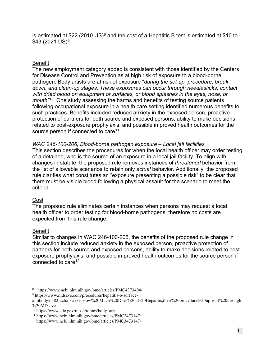is estimated at \$22 (2010 US)<sup>[8](#page-10-0)</sup> and the cost of a Hepatitis B test is estimated at \$10 to  $$43$  (2021 US)<sup>[9](#page-10-1)</sup>.

#### Benefit

The new employment category added is consistent with those identified by the Centers for Disease Control and Prevention as at high risk of exposure to a blood-borne pathogen. Body artists are at risk of exposure "*during the set-up, procedure, break down, and clean-up stages. These exposures can occur through needlesticks, contact with dried blood on equipment or surfaces, or blood splashes in the eyes, nose, or mouth"[10.](#page-10-2)* One study assessing the harms and benefits of testing source patients following occupational exposure in a health care setting identified numerous benefits to such practices. Benefits included reduced anxiety in the exposed person, proactive protection of partners for both source and exposed persons, ability to make decisions related to post-exposure prophylaxis, and possible improved health outcomes for the source person if connected to care<sup>11</sup>.

#### *WAC 246-100-206, Blood-borne pathogen exposure – Local jail facilities*

This section describes the procedures for when the local health officer may order testing of a detainee, who is the source of an exposure in a local jail facility. To align with changes in statute, the proposed rule removes instances of *threatened* behavior from the list of allowable scenarios to retain only *actual* behavior. Additionally, the proposed rule clarifies what constitutes an "exposure presenting a possible risk" to be clear that there must be visible blood following a physical assault for the scenario to meet the criteria.

#### Cost

The proposed rule eliminates certain instances when persons may request a local health officer to order testing for blood-borne pathogens, therefore no costs are expected from this rule change.

#### Benefit

Similar to changes in WAC 246-100-205, the benefits of the proposed rule change in this section include reduced anxiety in the exposed person, proactive protection of partners for both source and exposed persons, ability to make decisions related to postexposure prophylaxis, and possible improved health outcomes for the source person if connected to care  $12$ .

<span id="page-10-0"></span><sup>8</sup> <sup>8</sup> https://www.ncbi.nlm.nih.gov/pmc/articles/PMC4373404/

<span id="page-10-1"></span><sup>9</sup> https://www.mdsave.com/procedures/hepatitis-b-surface-

antibody/d582facb#:~:text=How%20Much%20Does%20a%20Hepatitis,their%20procedure%20upfront%20through %20MDsave.

<span id="page-10-2"></span><sup>10</sup> https://www.cdc.gov/niosh/topics/body\_art/

<span id="page-10-3"></span><sup>11</sup> https://www.ncbi.nlm.nih.gov/pmc/articles/PMC3473147/

<span id="page-10-4"></span><sup>12</sup> https://www.ncbi.nlm.nih.gov/pmc/articles/PMC3473147/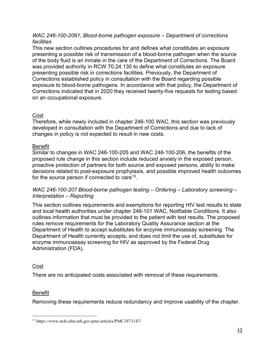#### *WAC 246-100-2061, Blood-borne pathogen exposure – Department of corrections facilities*

This new section outlines procedures for and defines what constitutes an exposure presenting a possible risk of transmission of a blood-borne pathogen when the source of the body fluid is an inmate in the care of the Department of Corrections. The Board was provided authority in RCW 70.24.130 to define what constitutes an exposure presenting possible risk in corrections facilities. Previously, the Department of Corrections established policy in consultation with the Board regarding possible exposure to blood-borne pathogens. In accordance with that policy, the Department of Corrections indicated that in 2020 they received twenty-five requests for testing based on an occupational exposure.

### Cost

Therefore, while newly included in chapter 246-100 WAC, this section was previously developed in consultation with the Department of Corrections and due to lack of changes in policy is not expected to result in new costs.

### Benefit

Similar to changes in WAC 246-100-205 and WAC 246-100-206, the benefits of the proposed rule change in this section include reduced anxiety in the exposed person, proactive protection of partners for both source and exposed persons, ability to make decisions related to post-exposure prophylaxis, and possible improved health outcomes for the source person if connected to care  $13$ .

### *WAC 246-100-207 Blood-borne pathogen testing – Ordering – Laboratory screening – Interpretation – Reporting*

This section outlines requirements and exemptions for reporting HIV test results to state and local health authorities under chapter 246-101 WAC, Notifiable Conditions. It also outlines information that must be provided to the patient with test results. The proposed rules remove requirements for the Laboratory Quality Assurance section at the Department of Health to accept substitutes for enzyme immunoassay screening. The Department of Health currently accepts, and does not limit the use of, substitutes for enzyme immunoassay screening for HIV as approved by the Federal Drug Administration (FDA).

## Cost

There are no anticipated costs associated with removal of these requirements.

## Benefit

Removing these requirements reduce redundancy and improve usability of the chapter.

<span id="page-11-0"></span><sup>13</sup> https://www.ncbi.nlm.nih.gov/pmc/articles/PMC3473147/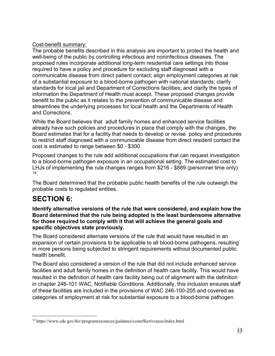## Cost-benefit summary:

The probable benefits described in this analysis are important to protect the health and well-being of the public by controlling infectious and noninfectious diseases. The proposed rules incorporate additional long-term residential care settings into those required to have a policy and procedure for excluding staff diagnosed with a communicable disease from direct patient contact; align employment categories at risk of a substantial exposure to a blood-borne pathogen with national standards; clarify standards for local jail and Department of Corrections facilities; and clarify the types of information the Department of Health must accept. These proposed changes provide benefit to the public as it relates to the prevention of communicable disease and streamlines the underlying processes for local health and the Departments of Health and Corrections.

While the Board believes that adult family homes and enhanced service facilities already have such policies and procedures in place that comply with the changes, the Board estimates that for a facility that needs to develop or revise policy and procedures to restrict staff diagnosed with a communicable disease from direct resident contact the cost is estimated to range between \$0 - \$300.

Proposed changes to the rule add additional occupations that can request investigation to a blood-borne pathogen exposure in an occupational setting. The estimated cost to LHJs of implementing the rule changes ranges from \$216 - \$889 (personnel time only) [14](#page-12-0).

The Board determined that the probable public health benefits of the rule outweigh the probable costs to regulated entities.

# **SECTION 6:**

**Identify alternative versions of the rule that were considered, and explain how the Board determined that the rule being adopted is the least burdensome alternative for those required to comply with it that will achieve the general goals and specific objectives state previously.**

The Board considered alternate versions of the rule that would have resulted in an expansion of certain provisions to be applicable to all blood-borne pathogens, resulting in more persons being subjected to stringent requirements without documented public health benefit.

The Board also considered a version of the rule that did not include enhanced service facilities and adult family homes in the definition of health care facility. This would have resulted in the definition of health care facility being out of alignment with the definition in chapter 246-101 WAC, Notifiable Conditions. Additionally, this inclusion ensures staff of these facilities are included in the provisions of WAC 246-100-205 and covered as categories of employment at risk for substantial exposure to a blood-borne pathogen.

<span id="page-12-0"></span><sup>14</sup> https://www.cdc.gov/hiv/programresources/guidance/costeffectiveness/index.html